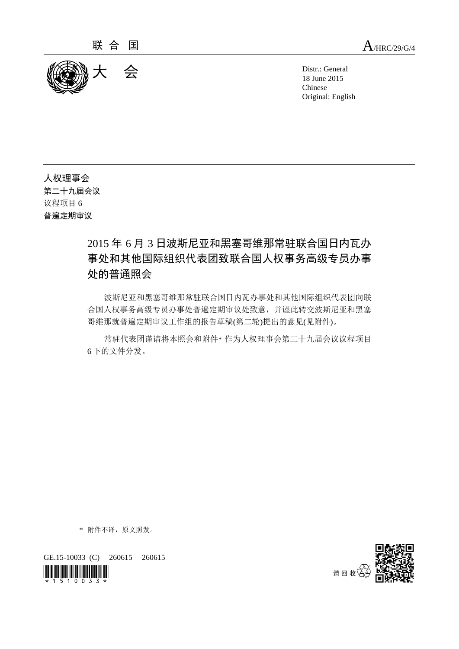

18 June 2015 Chinese Original: English

人权理事会 第二十九届会议 议程项目 6 普遍定期审议

# 2015 年 6 月 3 日波斯尼亚和黑塞哥维那常驻联合国日内瓦办 事处和其他国际组织代表团致联合国人权事务高级专员办事 处的普通照会

波斯尼亚和黑塞哥维那常驻联合国日内瓦办事处和其他国际组织代表团向联 合国人权事务高级专员办事处普遍定期审议处致意,并谨此转交波斯尼亚和黑塞 哥维那就普遍定期审议工作组的报告草稿(第二轮)提出的意见(见附件)。

常驻代表团谨请将本照会和附件\* 作为人权理事会第二十九届会议议程项目 6 下的文件分发。

\* 附件不译,原文照发。

GE.15-10033 (C) 260615 260615



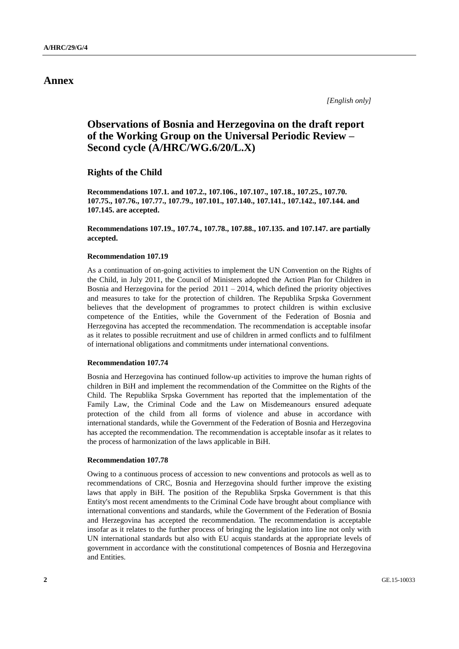## **Annex**

*[English only]*

## **Observations of Bosnia and Herzegovina on the draft report of the Working Group on the Universal Periodic Review – Second cycle (A/HRC/WG.6/20/L.X)**

**Rights of the Child**

**Recommendations 107.1. and 107.2., 107.106., 107.107., 107.18., 107.25., 107.70. 107.75., 107.76., 107.77., 107.79., 107.101., 107.140., 107.141., 107.142., 107.144. and 107.145. are accepted.**

**Recommendations 107.19., 107.74., 107.78., 107.88., 107.135. and 107.147. are partially accepted.**

#### **Recommendation 107.19**

As a continuation of on-going activities to implement the UN Convention on the Rights of the Child, in July 2011, the Council of Ministers adopted the Action Plan for Children in Bosnia and Herzegovina for the period  $2011 - 2014$ , which defined the priority objectives and measures to take for the protection of children. The Republika Srpska Government believes that the development of programmes to protect children is within exclusive competence of the Entities, while the Government of the Federation of Bosnia and Herzegovina has accepted the recommendation. The recommendation is acceptable insofar as it relates to possible recruitment and use of children in armed conflicts and to fulfilment of international obligations and commitments under international conventions.

#### **Recommendation 107.74**

Bosnia and Herzegovina has continued follow-up activities to improve the human rights of children in BiH and implement the recommendation of the Committee on the Rights of the Child. The Republika Srpska Government has reported that the implementation of the Family Law, the Criminal Code and the Law on Misdemeanours ensured adequate protection of the child from all forms of violence and abuse in accordance with international standards, while the Government of the Federation of Bosnia and Herzegovina has accepted the recommendation. The recommendation is acceptable insofar as it relates to the process of harmonization of the laws applicable in BiH.

#### **Recommendation 107.78**

Owing to a continuous process of accession to new conventions and protocols as well as to recommendations of CRC, Bosnia and Herzegovina should further improve the existing laws that apply in BiH. The position of the Republika Srpska Government is that this Entity's most recent amendments to the Criminal Code have brought about compliance with international conventions and standards, while the Government of the Federation of Bosnia and Herzegovina has accepted the recommendation. The recommendation is acceptable insofar as it relates to the further process of bringing the legislation into line not only with UN international standards but also with EU acquis standards at the appropriate levels of government in accordance with the constitutional competences of Bosnia and Herzegovina and Entities.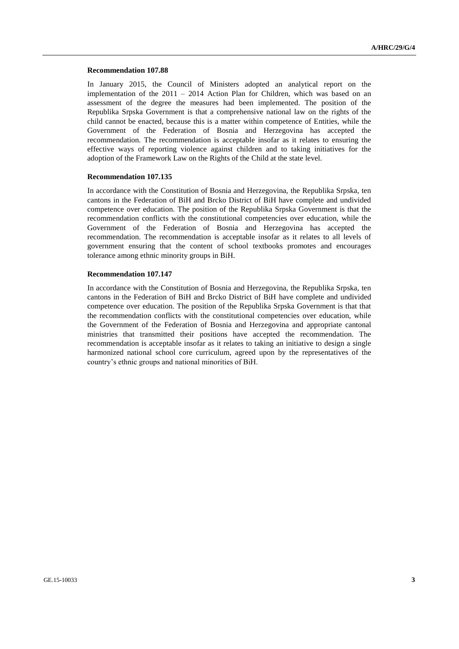#### **Recommendation 107.88**

In January 2015, the Council of Ministers adopted an analytical report on the implementation of the 2011 – 2014 Action Plan for Children, which was based on an assessment of the degree the measures had been implemented. The position of the Republika Srpska Government is that a comprehensive national law on the rights of the child cannot be enacted, because this is a matter within competence of Entities, while the Government of the Federation of Bosnia and Herzegovina has accepted the recommendation. The recommendation is acceptable insofar as it relates to ensuring the effective ways of reporting violence against children and to taking initiatives for the adoption of the Framework Law on the Rights of the Child at the state level.

#### **Recommendation 107.135**

In accordance with the Constitution of Bosnia and Herzegovina, the Republika Srpska, ten cantons in the Federation of BiH and Brcko District of BiH have complete and undivided competence over education. The position of the Republika Srpska Government is that the recommendation conflicts with the constitutional competencies over education, while the Government of the Federation of Bosnia and Herzegovina has accepted the recommendation. The recommendation is acceptable insofar as it relates to all levels of government ensuring that the content of school textbooks promotes and encourages tolerance among ethnic minority groups in BiH.

#### **Recommendation 107.147**

In accordance with the Constitution of Bosnia and Herzegovina, the Republika Srpska, ten cantons in the Federation of BiH and Brcko District of BiH have complete and undivided competence over education. The position of the Republika Srpska Government is that that the recommendation conflicts with the constitutional competencies over education, while the Government of the Federation of Bosnia and Herzegovina and appropriate cantonal ministries that transmitted their positions have accepted the recommendation. The recommendation is acceptable insofar as it relates to taking an initiative to design a single harmonized national school core curriculum, agreed upon by the representatives of the country's ethnic groups and national minorities of BiH.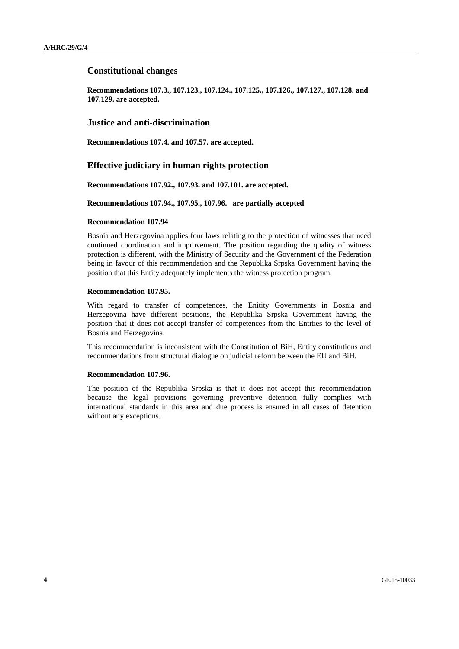## **Constitutional changes**

**Recommendations 107.3., 107.123., 107.124., 107.125., 107.126., 107.127., 107.128. and 107.129. are accepted.** 

## **Justice and anti-discrimination**

**Recommendations 107.4. and 107.57. are accepted.**

## **Effective judiciary in human rights protection**

**Recommendations 107.92., 107.93. and 107.101. are accepted.**

#### **Recommendations 107.94., 107.95., 107.96. are partially accepted**

#### **Recommendation 107.94**

Bosnia and Herzegovina applies four laws relating to the protection of witnesses that need continued coordination and improvement. The position regarding the quality of witness protection is different, with the Ministry of Security and the Government of the Federation being in favour of this recommendation and the Republika Srpska Government having the position that this Entity adequately implements the witness protection program.

#### **Recommendation 107.95.**

With regard to transfer of competences, the Enitity Governments in Bosnia and Herzegovina have different positions, the Republika Srpska Government having the position that it does not accept transfer of competences from the Entities to the level of Bosnia and Herzegovina.

This recommendation is inconsistent with the Constitution of BiH, Entity constitutions and recommendations from structural dialogue on judicial reform between the EU and BiH.

#### **Recommendation 107.96.**

The position of the Republika Srpska is that it does not accept this recommendation because the legal provisions governing preventive detention fully complies with international standards in this area and due process is ensured in all cases of detention without any exceptions.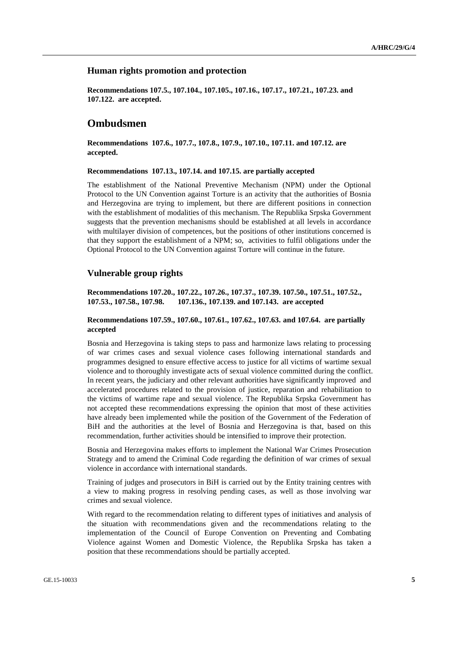## **Human rights promotion and protection**

**Recommendations 107.5., 107.104., 107.105., 107.16., 107.17., 107.21., 107.23. and 107.122. are accepted.**

## **Ombudsmen**

**Recommendations 107.6., 107.7., 107.8., 107.9., 107.10., 107.11. and 107.12. are accepted.**

#### **Recommendations 107.13., 107.14. and 107.15. are partially accepted**

The establishment of the National Preventive Mechanism (NPM) under the Optional Protocol to the UN Convention against Torture is an activity that the authorities of Bosnia and Herzegovina are trying to implement, but there are different positions in connection with the establishment of modalities of this mechanism. The Republika Srpska Government suggests that the prevention mechanisms should be established at all levels in accordance with multilayer division of competences, but the positions of other institutions concerned is that they support the establishment of a NPM; so, activities to fulfil obligations under the Optional Protocol to the UN Convention against Torture will continue in the future.

## **Vulnerable group rights**

**Recommendations 107.20., 107.22., 107.26., 107.37., 107.39. 107.50., 107.51., 107.52., 107.53., 107.58., 107.98. 107.136., 107.139. and 107.143. are accepted**

#### **Recommendations 107.59., 107.60., 107.61., 107.62., 107.63. and 107.64. are partially accepted**

Bosnia and Herzegovina is taking steps to pass and harmonize laws relating to processing of war crimes cases and sexual violence cases following international standards and programmes designed to ensure effective access to justice for all victims of wartime sexual violence and to thoroughly investigate acts of sexual violence committed during the conflict. In recent years, the judiciary and other relevant authorities have significantly improved and accelerated procedures related to the provision of justice, reparation and rehabilitation to the victims of wartime rape and sexual violence. The Republika Srpska Government has not accepted these recommendations expressing the opinion that most of these activities have already been implemented while the position of the Government of the Federation of BiH and the authorities at the level of Bosnia and Herzegovina is that, based on this recommendation, further activities should be intensified to improve their protection.

Bosnia and Herzegovina makes efforts to implement the National War Crimes Prosecution Strategy and to amend the Criminal Code regarding the definition of war crimes of sexual violence in accordance with international standards.

Training of judges and prosecutors in BiH is carried out by the Entity training centres with a view to making progress in resolving pending cases, as well as those involving war crimes and sexual violence.

With regard to the recommendation relating to different types of initiatives and analysis of the situation with recommendations given and the recommendations relating to the implementation of the Council of Europe Convention on Preventing and Combating Violence against Women and Domestic Violence, the Republika Srpska has taken a position that these recommendations should be partially accepted.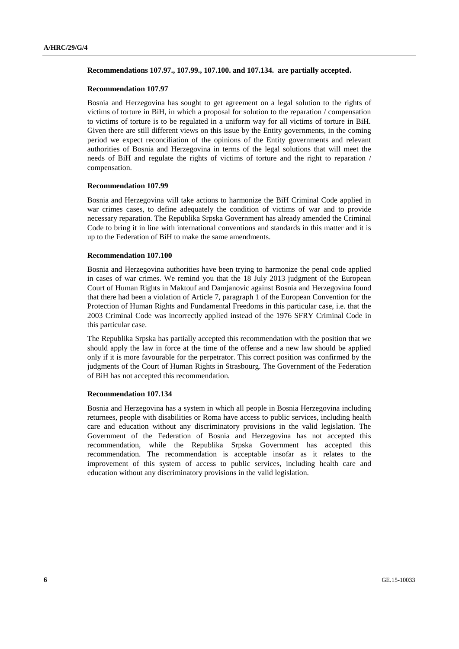#### **Recommendations 107.97., 107.99., 107.100. and 107.134. are partially accepted.**

#### **Recommendation 107.97**

Bosnia and Herzegovina has sought to get agreement on a legal solution to the rights of victims of torture in BiH, in which a proposal for solution to the reparation / compensation to victims of torture is to be regulated in a uniform way for all victims of torture in BiH. Given there are still different views on this issue by the Entity governments, in the coming period we expect reconciliation of the opinions of the Entity governments and relevant authorities of Bosnia and Herzegovina in terms of the legal solutions that will meet the needs of BiH and regulate the rights of victims of torture and the right to reparation / compensation.

#### **Recommendation 107.99**

Bosnia and Herzegovina will take actions to harmonize the BiH Criminal Code applied in war crimes cases, to define adequately the condition of victims of war and to provide necessary reparation. The Republika Srpska Government has already amended the Criminal Code to bring it in line with international conventions and standards in this matter and it is up to the Federation of BiH to make the same amendments.

#### **Recommendation 107.100**

Bosnia and Herzegovina authorities have been trying to harmonize the penal code applied in cases of war crimes. We remind you that the 18 July 2013 judgment of the European Court of Human Rights in Maktouf and Damjanovic against Bosnia and Herzegovina found that there had been a violation of Article 7, paragraph 1 of the European Convention for the Protection of Human Rights and Fundamental Freedoms in this particular case, i.e. that the 2003 Criminal Code was incorrectly applied instead of the 1976 SFRY Criminal Code in this particular case.

The Republika Srpska has partially accepted this recommendation with the position that we should apply the law in force at the time of the offense and a new law should be applied only if it is more favourable for the perpetrator. This correct position was confirmed by the judgments of the Court of Human Rights in Strasbourg. The Government of the Federation of BiH has not accepted this recommendation.

#### **Recommendation 107.134**

Bosnia and Herzegovina has a system in which all people in Bosnia Herzegovina including returnees, people with disabilities or Roma have access to public services, including health care and education without any discriminatory provisions in the valid legislation. The Government of the Federation of Bosnia and Herzegovina has not accepted this recommendation, while the Republika Srpska Government has accepted this recommendation. The recommendation is acceptable insofar as it relates to the improvement of this system of access to public services, including health care and education without any discriminatory provisions in the valid legislation.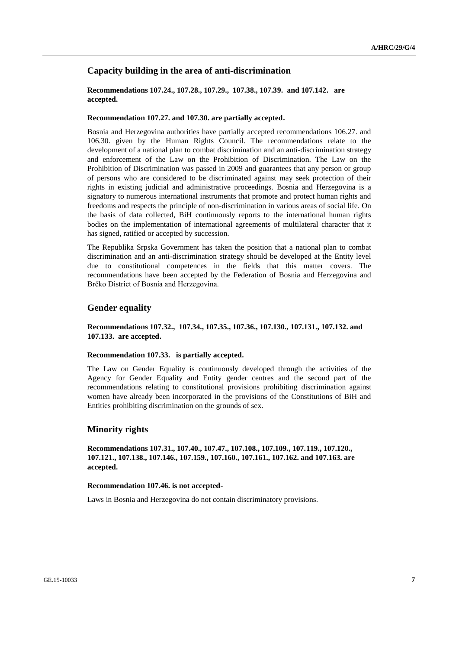## **Capacity building in the area of anti-discrimination**

## **Recommendations 107.24., 107.28., 107.29., 107.38., 107.39. and 107.142. are accepted.**

#### **Recommendation 107.27. and 107.30. are partially accepted.**

Bosnia and Herzegovina authorities have partially accepted recommendations 106.27. and 106.30. given by the Human Rights Council. The recommendations relate to the development of a national plan to combat discrimination and an anti-discrimination strategy and enforcement of the Law on the Prohibition of Discrimination. The Law on the Prohibition of Discrimination was passed in 2009 and guarantees that any person or group of persons who are considered to be discriminated against may seek protection of their rights in existing judicial and administrative proceedings. Bosnia and Herzegovina is a signatory to numerous international instruments that promote and protect human rights and freedoms and respects the principle of non-discrimination in various areas of social life. On the basis of data collected, BiH continuously reports to the international human rights bodies on the implementation of international agreements of multilateral character that it has signed, ratified or accepted by succession.

The Republika Srpska Government has taken the position that a national plan to combat discrimination and an anti-discrimination strategy should be developed at the Entity level due to constitutional competences in the fields that this matter covers. The recommendations have been accepted by the Federation of Bosnia and Herzegovina and Brčko District of Bosnia and Herzegovina.

## **Gender equality**

## **Recommendations 107.32., 107.34., 107.35., 107.36., 107.130., 107.131., 107.132. and 107.133. are accepted.**

#### **Recommendation 107.33. is partially accepted.**

The Law on Gender Equality is continuously developed through the activities of the Agency for Gender Equality and Entity gender centres and the second part of the recommendations relating to constitutional provisions prohibiting discrimination against women have already been incorporated in the provisions of the Constitutions of BiH and Entities prohibiting discrimination on the grounds of sex.

## **Minority rights**

**Recommendations 107.31., 107.40., 107.47., 107.108., 107.109., 107.119., 107.120., 107.121., 107.138., 107.146., 107.159., 107.160., 107.161., 107.162. and 107.163. are accepted.**

#### **Recommendation 107.46. is not accepted-**

Laws in Bosnia and Herzegovina do not contain discriminatory provisions.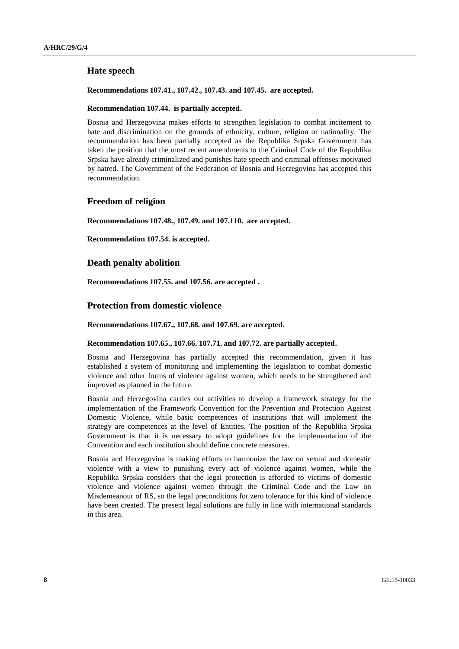## **Hate speech**

### **Recommendations 107.41., 107.42., 107.43. and 107.45. are accepted.**

### **Recommendation 107.44. is partially accepted.**

Bosnia and Herzegovina makes efforts to strengthen legislation to combat incitement to hate and discrimination on the grounds of ethnicity, culture, religion or nationality. The recommendation has been partially accepted as the Republika Srpska Government has taken the position that the most recent amendments to the Criminal Code of the Republika Srpska have already criminalized and punishes hate speech and criminal offenses motivated by hatred. The Government of the Federation of Bosnia and Herzegovina has accepted this recommendation.

## **Freedom of religion**

**Recommendations 107.48., 107.49. and 107.110. are accepted.**

**Recommendation 107.54. is accepted.**

## **Death penalty abolition**

**Recommendations 107.55. and 107.56. are accepted .**

## **Protection from domestic violence**

**Recommendations 107.67., 107.68. and 107.69. are accepted.**

#### **Recommendation 107.65., 107.66. 107.71. and 107.72. are partially accepted.**

Bosnia and Herzegovina has partially accepted this recommendation, given it has established a system of monitoring and implementing the legislation to combat domestic violence and other forms of violence against women, which needs to be strengthened and improved as planned in the future.

Bosnia and Herzegovina carries out activities to develop a framework strategy for the implementation of the Framework Convention for the Prevention and Protection Against Domestic Violence, while basic competences of institutions that will implement the strategy are competences at the level of Entities. The position of the Republika Srpska Government is that it is necessary to adopt guidelines for the implementation of the Convention and each institution should define concrete measures.

Bosnia and Herzegovina is making efforts to harmonize the law on sexual and domestic violence with a view to punishing every act of violence against women, while the Republika Srpska considers that the legal protection is afforded to victims of domestic violence and violence against women through the Criminal Code and the Law on Misdemeanour of RS, so the legal preconditions for zero tolerance for this kind of violence have been created. The present legal solutions are fully in line with international standards in this area.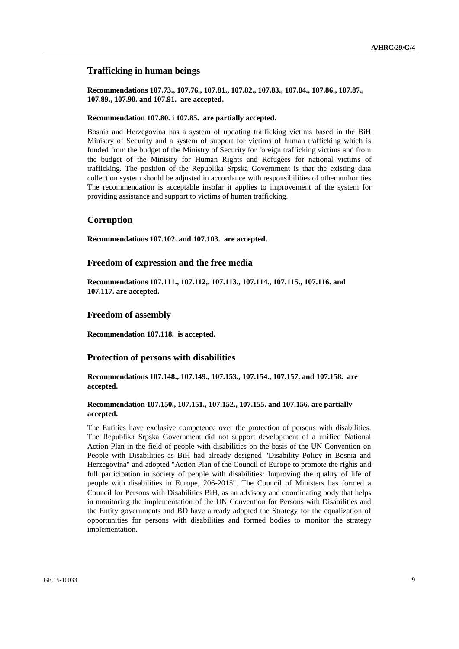## **Trafficking in human beings**

**Recommendations 107.73., 107.76., 107.81., 107.82., 107.83., 107.84., 107.86., 107.87., 107.89., 107.90. and 107.91. are accepted.**

#### **Recommendation 107.80. i 107.85. are partially accepted.**

Bosnia and Herzegovina has a system of updating trafficking victims based in the BiH Ministry of Security and a system of support for victims of human trafficking which is funded from the budget of the Ministry of Security for foreign trafficking victims and from the budget of the Ministry for Human Rights and Refugees for national victims of trafficking. The position of the Republika Srpska Government is that the existing data collection system should be adjusted in accordance with responsibilities of other authorities. The recommendation is acceptable insofar it applies to improvement of the system for providing assistance and support to victims of human trafficking.

## **Corruption**

**Recommendations 107.102. and 107.103. are accepted.**

### **Freedom of expression and the free media**

**Recommendations 107.111., 107.112,. 107.113., 107.114., 107.115., 107.116. and 107.117. are accepted.**

#### **Freedom of assembly**

**Recommendation 107.118. is accepted.**

## **Protection of persons with disabilities**

**Recommendations 107.148., 107.149., 107.153., 107.154., 107.157. and 107.158. are accepted.**

## **Recommendation 107.150., 107.151., 107.152., 107.155. and 107.156. are partially accepted.**

The Entities have exclusive competence over the protection of persons with disabilities. The Republika Srpska Government did not support development of a unified National Action Plan in the field of people with disabilities on the basis of the UN Convention on People with Disabilities as BiH had already designed "Disability Policy in Bosnia and Herzegovina" and adopted "Action Plan of the Council of Europe to promote the rights and full participation in society of people with disabilities: Improving the quality of life of people with disabilities in Europe, 206-2015". The Council of Ministers has formed a Council for Persons with Disabilities BiH, as an advisory and coordinating body that helps in monitoring the implementation of the UN Convention for Persons with Disabilities and the Entity governments and BD have already adopted the Strategy for the equalization of opportunities for persons with disabilities and formed bodies to monitor the strategy implementation.